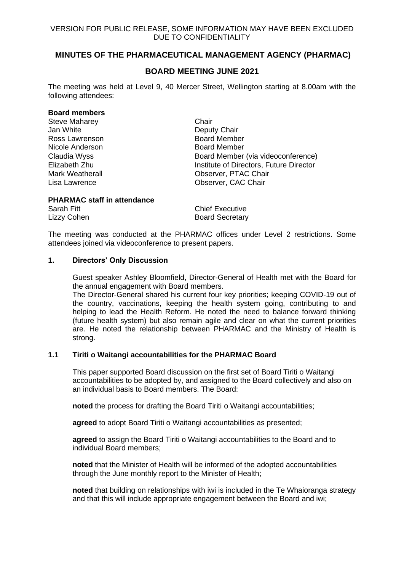# **MINUTES OF THE PHARMACEUTICAL MANAGEMENT AGENCY (PHARMAC)**

# **BOARD MEETING JUNE 2021**

The meeting was held at Level 9, 40 Mercer Street, Wellington starting at 8.00am with the following attendees:

#### **Board members**

| <b>Steve Maharey</b>   | Chair                                   |
|------------------------|-----------------------------------------|
| Jan White              | Deputy Chair                            |
| Ross Lawrenson         | <b>Board Member</b>                     |
| Nicole Anderson        | <b>Board Member</b>                     |
| Claudia Wyss           | Board Member (via videoconference)      |
| Elizabeth Zhu          | Institute of Directors, Future Director |
| <b>Mark Weatherall</b> | Observer, PTAC Chair                    |
| Lisa Lawrence          | Observer, CAC Chair                     |
|                        |                                         |

### **PHARMAC staff in attendance**

Sarah Fitt **Chief Executive** Lizzy Cohen Board Secretary

The meeting was conducted at the PHARMAC offices under Level 2 restrictions. Some attendees joined via videoconference to present papers.

### **1. Directors' Only Discussion**

Guest speaker Ashley Bloomfield, Director-General of Health met with the Board for the annual engagement with Board members.

The Director-General shared his current four key priorities; keeping COVID-19 out of the country, vaccinations, keeping the health system going, contributing to and helping to lead the Health Reform. He noted the need to balance forward thinking (future health system) but also remain agile and clear on what the current priorities are. He noted the relationship between PHARMAC and the Ministry of Health is strong.

## **1.1 Tiriti o Waitangi accountabilities for the PHARMAC Board**

This paper supported Board discussion on the first set of Board Tiriti o Waitangi accountabilities to be adopted by, and assigned to the Board collectively and also on an individual basis to Board members. The Board:

**noted** the process for drafting the Board Tiriti o Waitangi accountabilities;

**agreed** to adopt Board Tiriti o Waitangi accountabilities as presented;

**agreed** to assign the Board Tiriti o Waitangi accountabilities to the Board and to individual Board members;

**noted** that the Minister of Health will be informed of the adopted accountabilities through the June monthly report to the Minister of Health;

**noted** that building on relationships with iwi is included in the Te Whaioranga strategy and that this will include appropriate engagement between the Board and iwi;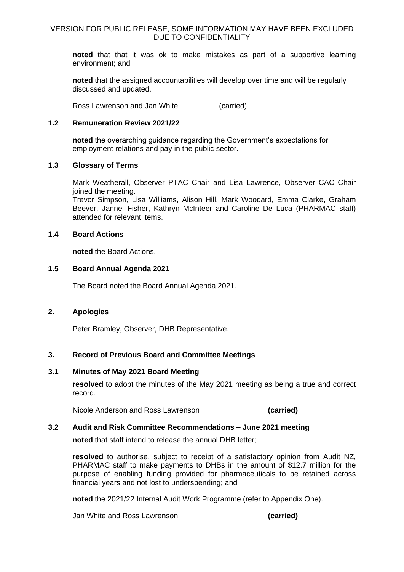**noted** that that it was ok to make mistakes as part of a supportive learning environment; and

**noted** that the assigned accountabilities will develop over time and will be regularly discussed and updated.

Ross Lawrenson and Jan White (carried)

## **1.2 Remuneration Review 2021/22**

**noted** the overarching guidance regarding the Government's expectations for employment relations and pay in the public sector.

## **1.3 Glossary of Terms**

Mark Weatherall, Observer PTAC Chair and Lisa Lawrence, Observer CAC Chair joined the meeting.

Trevor Simpson, Lisa Williams, Alison Hill, Mark Woodard, Emma Clarke, Graham Beever, Jannel Fisher, Kathryn McInteer and Caroline De Luca (PHARMAC staff) attended for relevant items.

## **1.4 Board Actions**

**noted** the Board Actions.

## **1.5 Board Annual Agenda 2021**

The Board noted the Board Annual Agenda 2021.

# **2. Apologies**

Peter Bramley, Observer, DHB Representative.

# **3. Record of Previous Board and Committee Meetings**

## **3.1 Minutes of May 2021 Board Meeting**

**resolved** to adopt the minutes of the May 2021 meeting as being a true and correct record.

Nicole Anderson and Ross Lawrenson **(carried)**

# **3.2 Audit and Risk Committee Recommendations – June 2021 meeting**

**noted** that staff intend to release the annual DHB letter;

**resolved** to authorise, subject to receipt of a satisfactory opinion from Audit NZ, PHARMAC staff to make payments to DHBs in the amount of \$12.7 million for the purpose of enabling funding provided for pharmaceuticals to be retained across financial years and not lost to underspending; and

**noted** the 2021/22 Internal Audit Work Programme (refer to Appendix One).

Jan White and Ross Lawrenson **(carried)**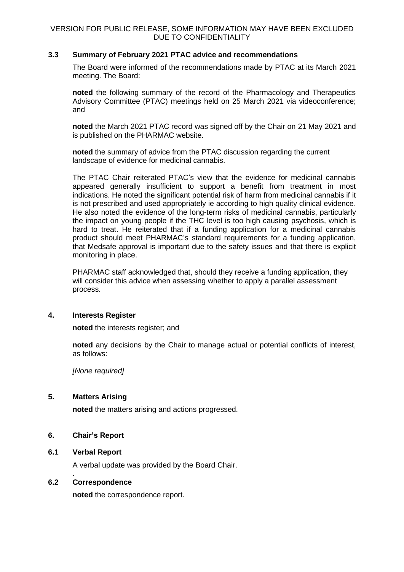# **3.3 Summary of February 2021 PTAC advice and recommendations**

The Board were informed of the recommendations made by PTAC at its March 2021 meeting. The Board:

**noted** the following summary of the record of the Pharmacology and Therapeutics Advisory Committee (PTAC) meetings held on 25 March 2021 via videoconference; and

**noted** the March 2021 PTAC record was signed off by the Chair on 21 May 2021 and is published on the PHARMAC website.

**noted** the summary of advice from the PTAC discussion regarding the current landscape of evidence for medicinal cannabis.

The PTAC Chair reiterated PTAC's view that the evidence for medicinal cannabis appeared generally insufficient to support a benefit from treatment in most indications. He noted the significant potential risk of harm from medicinal cannabis if it is not prescribed and used appropriately ie according to high quality clinical evidence. He also noted the evidence of the long-term risks of medicinal cannabis, particularly the impact on young people if the THC level is too high causing psychosis, which is hard to treat. He reiterated that if a funding application for a medicinal cannabis product should meet PHARMAC's standard requirements for a funding application, that Medsafe approval is important due to the safety issues and that there is explicit monitoring in place.

PHARMAC staff acknowledged that, should they receive a funding application, they will consider this advice when assessing whether to apply a parallel assessment process.

## **4. Interests Register**

**noted** the interests register; and

**noted** any decisions by the Chair to manage actual or potential conflicts of interest, as follows:

*[None required]*

# **5. Matters Arising**

**noted** the matters arising and actions progressed.

# **6. Chair's Report**

## **6.1 Verbal Report**

.

A verbal update was provided by the Board Chair.

### **6.2 Correspondence**

**noted** the correspondence report.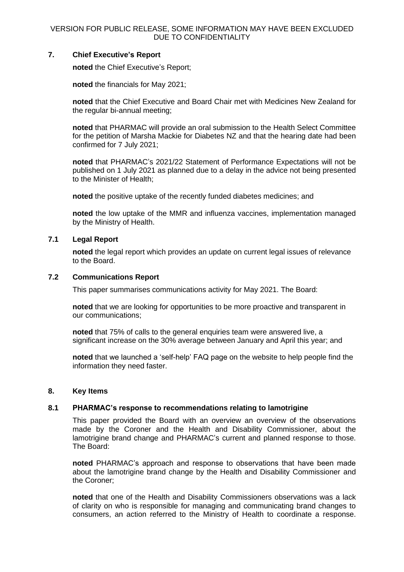# **7. Chief Executive's Report**

**noted** the Chief Executive's Report;

**noted** the financials for May 2021;

**noted** that the Chief Executive and Board Chair met with Medicines New Zealand for the regular bi-annual meeting;

**noted** that PHARMAC will provide an oral submission to the Health Select Committee for the petition of Marsha Mackie for Diabetes NZ and that the hearing date had been confirmed for 7 July 2021;

**noted** that PHARMAC's 2021/22 Statement of Performance Expectations will not be published on 1 July 2021 as planned due to a delay in the advice not being presented to the Minister of Health;

**noted** the positive uptake of the recently funded diabetes medicines; and

**noted** the low uptake of the MMR and influenza vaccines, implementation managed by the Ministry of Health.

## **7.1 Legal Report**

**noted** the legal report which provides an update on current legal issues of relevance to the Board.

### **7.2 Communications Report**

This paper summarises communications activity for May 2021. The Board:

**noted** that we are looking for opportunities to be more proactive and transparent in our communications;

**noted** that 75% of calls to the general enquiries team were answered live, a significant increase on the 30% average between January and April this year; and

**noted** that we launched a 'self-help' FAQ page on the website to help people find the information they need faster.

### **8. Key Items**

# **8.1 PHARMAC's response to recommendations relating to lamotrigine**

This paper provided the Board with an overview an overview of the observations made by the Coroner and the Health and Disability Commissioner, about the lamotrigine brand change and PHARMAC's current and planned response to those. The Board:

**noted** PHARMAC's approach and response to observations that have been made about the lamotrigine brand change by the Health and Disability Commissioner and the Coroner;

**noted** that one of the Health and Disability Commissioners observations was a lack of clarity on who is responsible for managing and communicating brand changes to consumers, an action referred to the Ministry of Health to coordinate a response.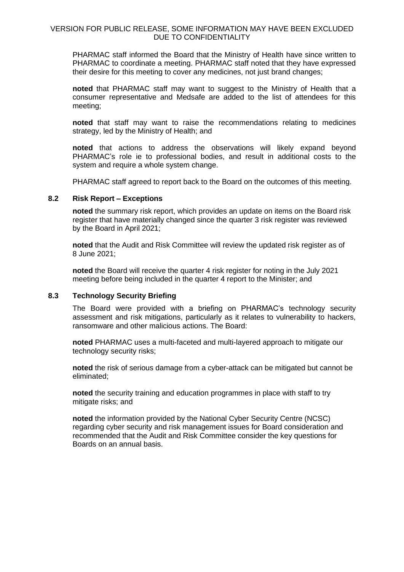PHARMAC staff informed the Board that the Ministry of Health have since written to PHARMAC to coordinate a meeting. PHARMAC staff noted that they have expressed their desire for this meeting to cover any medicines, not just brand changes;

**noted** that PHARMAC staff may want to suggest to the Ministry of Health that a consumer representative and Medsafe are added to the list of attendees for this meeting;

**noted** that staff may want to raise the recommendations relating to medicines strategy, led by the Ministry of Health; and

**noted** that actions to address the observations will likely expand beyond PHARMAC's role ie to professional bodies, and result in additional costs to the system and require a whole system change.

PHARMAC staff agreed to report back to the Board on the outcomes of this meeting.

### **8.2 Risk Report – Exceptions**

**noted** the summary risk report, which provides an update on items on the Board risk register that have materially changed since the quarter 3 risk register was reviewed by the Board in April 2021;

**noted** that the Audit and Risk Committee will review the updated risk register as of 8 June 2021;

**noted** the Board will receive the quarter 4 risk register for noting in the July 2021 meeting before being included in the quarter 4 report to the Minister; and

# **8.3 Technology Security Briefing**

The Board were provided with a briefing on PHARMAC's technology security assessment and risk mitigations, particularly as it relates to vulnerability to hackers, ransomware and other malicious actions. The Board:

**noted** PHARMAC uses a multi-faceted and multi-layered approach to mitigate our technology security risks;

**noted** the risk of serious damage from a cyber-attack can be mitigated but cannot be eliminated;

**noted** the security training and education programmes in place with staff to try mitigate risks; and

**noted** the information provided by the National Cyber Security Centre (NCSC) regarding cyber security and risk management issues for Board consideration and recommended that the Audit and Risk Committee consider the key questions for Boards on an annual basis.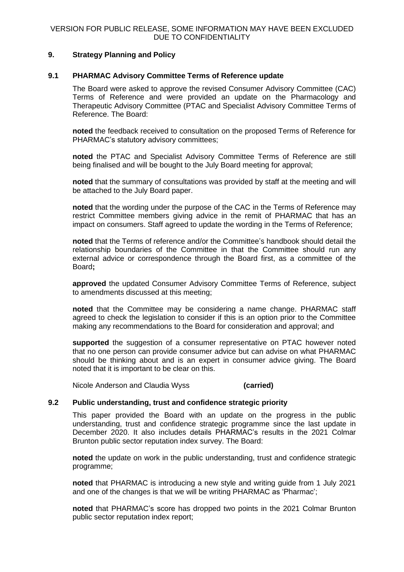# **9. Strategy Planning and Policy**

## **9.1 PHARMAC Advisory Committee Terms of Reference update**

The Board were asked to approve the revised Consumer Advisory Committee (CAC) Terms of Reference and were provided an update on the Pharmacology and Therapeutic Advisory Committee (PTAC and Specialist Advisory Committee Terms of Reference. The Board:

**noted** the feedback received to consultation on the proposed Terms of Reference for PHARMAC's statutory advisory committees;

**noted** the PTAC and Specialist Advisory Committee Terms of Reference are still being finalised and will be bought to the July Board meeting for approval;

**noted** that the summary of consultations was provided by staff at the meeting and will be attached to the July Board paper.

**noted** that the wording under the purpose of the CAC in the Terms of Reference may restrict Committee members giving advice in the remit of PHARMAC that has an impact on consumers. Staff agreed to update the wording in the Terms of Reference;

**noted** that the Terms of reference and/or the Committee's handbook should detail the relationship boundaries of the Committee in that the Committee should run any external advice or correspondence through the Board first, as a committee of the Board**;**

**approved** the updated Consumer Advisory Committee Terms of Reference, subject to amendments discussed at this meeting;

**noted** that the Committee may be considering a name change. PHARMAC staff agreed to check the legislation to consider if this is an option prior to the Committee making any recommendations to the Board for consideration and approval; and

**supported** the suggestion of a consumer representative on PTAC however noted that no one person can provide consumer advice but can advise on what PHARMAC should be thinking about and is an expert in consumer advice giving. The Board noted that it is important to be clear on this.

Nicole Anderson and Claudia Wyss **(carried)**

### **9.2 Public understanding, trust and confidence strategic priority**

This paper provided the Board with an update on the progress in the public understanding, trust and confidence strategic programme since the last update in December 2020. It also includes details PHARMAC's results in the 2021 Colmar Brunton public sector reputation index survey. The Board:

**noted** the update on work in the public understanding, trust and confidence strategic programme;

**noted** that PHARMAC is introducing a new style and writing guide from 1 July 2021 and one of the changes is that we will be writing PHARMAC as 'Pharmac';

**noted** that PHARMAC's score has dropped two points in the 2021 Colmar Brunton public sector reputation index report;